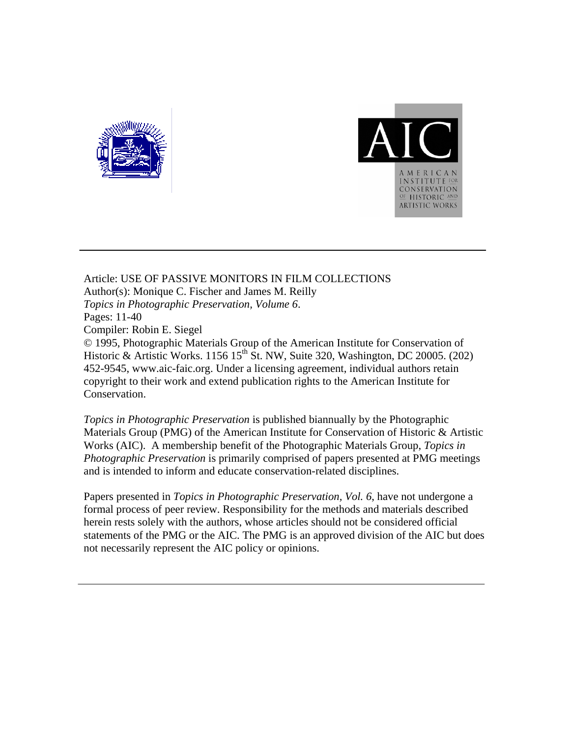



Article: USE OF PASSIVE MONITORS IN FILM COLLECTIONS Author(s): Monique C. Fischer and James M. Reilly *Topics in Photographic Preservation, Volume 6*. Pages: 11-40 Compiler: Robin E. Siegel © 1995, Photographic Materials Group of the American Institute for Conservation of Historic & Artistic Works. 1156 15<sup>th</sup> St. NW, Suite 320, Washington, DC 20005. (202) 452-9545, www.aic-faic.org. Under a licensing agreement, individual authors retain copyright to their work and extend publication rights to the American Institute for Conservation.

*Topics in Photographic Preservation* is published biannually by the Photographic Materials Group (PMG) of the American Institute for Conservation of Historic & Artistic Works (AIC). A membership benefit of the Photographic Materials Group, *Topics in Photographic Preservation* is primarily comprised of papers presented at PMG meetings and is intended to inform and educate conservation-related disciplines.

Papers presented in *Topics in Photographic Preservation, Vol. 6*, have not undergone a formal process of peer review. Responsibility for the methods and materials described herein rests solely with the authors, whose articles should not be considered official statements of the PMG or the AIC. The PMG is an approved division of the AIC but does not necessarily represent the AIC policy or opinions.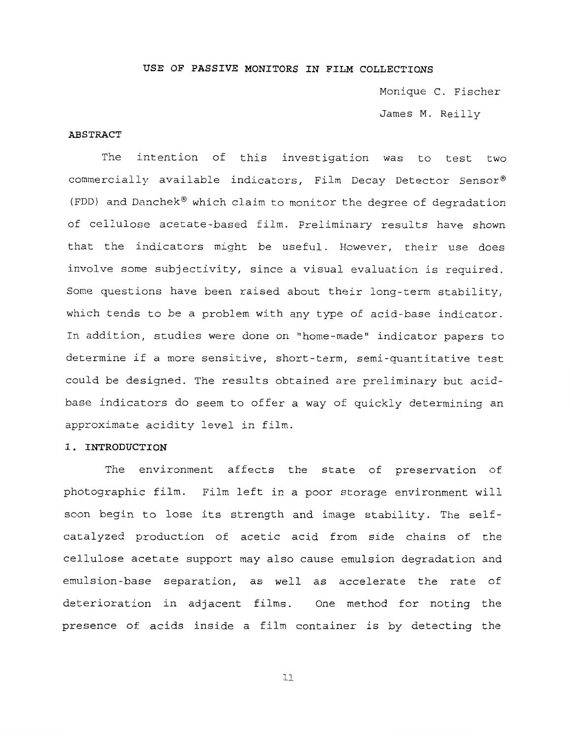### **USE OF PASSIVE MONITORS IN FILM COLLECTIONS**

Monique C. Fischer James M. Reilly

# **ABSTRACT**

The intention of this investigation was to test two commercially available indicators, Film Decay Detector Sensor® (FDD) and Danchek<sup>®</sup> which claim to monitor the degree of degradation of cellulose acetate-based film. Preliminary results have shown that the indicators might be useful. However, their use does involve some subjectivity, since a visual evaluation is required. Some questions have been raised about their long-term stability, which tends to be a problem with any type of acid-base indicator. In addition, studies were done on "home-made" indicator papers to determine if a more sensitive, short-term, semi-quantitative test could be designed. The results obtained are preliminary but acidbase indicators do seem to offer a way of quickly determining an approximate acidity level in film.

# **1. INTRODUCTION**

The environment affects the state of preservation of photographic film. Film left in a poor storage environment will soon begin to lose its strength and image stability. The selfcatalyzed production of acetic acid from side chains of the cellulose acetate support may also cause emulsion degradation and emulsion-base separation, as well as accelerate the rate of deterioration in adjacent films. One method for noting the presence of acids inside a film container is by detecting the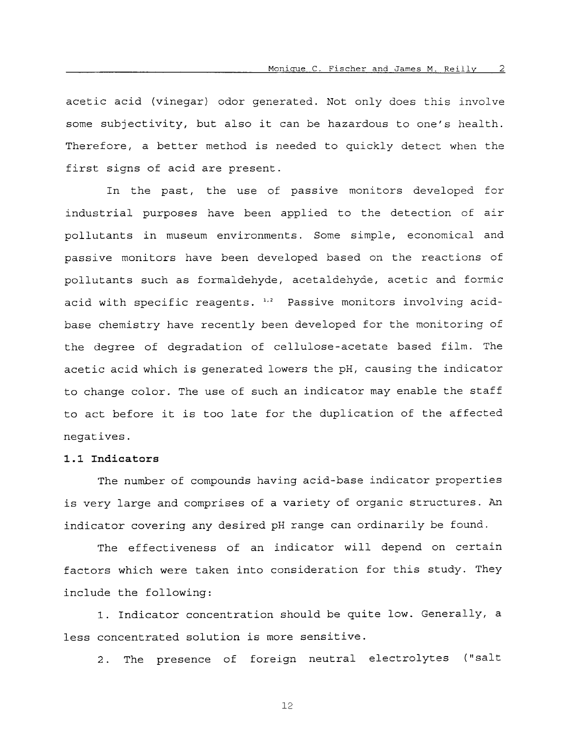acetic acid (vinegar) odor generated. Not only does this involve some subjectivity, but also it can be hazardous to one's health. Therefore, a better method is needed to quickly detect when the first signs of acid are present.

In the past, the use of passive monitors developed for industrial purposes have been applied to the detection of air pollutants in museum environments. Some simple, economical and passive monitors have been developed based on the reactions of pollutants such as formaldehyde, acetaldehyde, acetic and formic acid with specific reagents. <sup>1,2</sup> Passive monitors involving acidbase chemistry have recently been developed for the monitoring of the degree of degradation of cellulose-acetate based film. The acetic acid which is generated lowers the pH, causing the indicator to change color. The use of such an indicator may enable the staff to act before it is too late for the duplication of the affected negatives.

# **1.1 Indicators**

The number of compounds having acid-base indicator properties is very large and comprises of a variety of organic structures. *An*  indicator covering any desired pH range can ordinarily be found.

The effectiveness of an indicator will depend on certain factors which were taken into consideration for this study. They include the following:

1. Indicator concentration should be quite low. Generally, a less concentrated solution is more sensitive.

2. The presence of foreign neutral electrolytes ("salt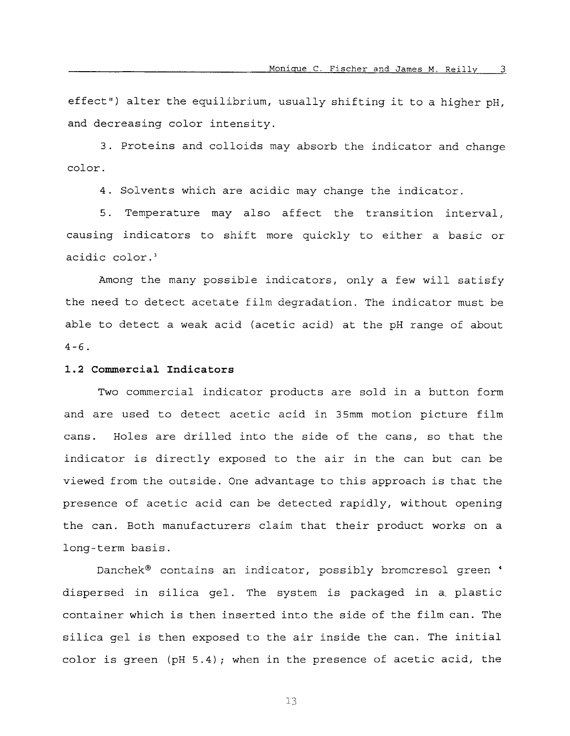effect") alter the equilibrium, usually shifting it to a higher pH, and decreasing color intensity.

3. Proteins and colloids may absorb the indicator and change color.

4. Solvents which are acidic may change the indicator.

*5.* Temperature may also affect the transition interval, causing indicators to shift more quickly to either a basic or acidic color.

Among the many possible indicators, only a few will satisfy the need to detect acetate film degradation. The indicator must be able to detect a weak acid (acetic acid) at the pH range of about  $4 - 6$ .

# **1.2 Commercial Indicators**

Two commercial indicator products are sold in a button form and are used to detect acetic acid in 35mm motion picture film cans. Holes are drilled into the side of the cans, so that the indicator is directly exposed to the air in the can but can be viewed from the outside. One advantage to this approach is that the presence of acetic acid can be detected rapidly, without opening the can. Both manufacturers claim that their product works on a long-term basis.

Danchek<sup>®</sup> contains an indicator, possibly bromcresol green ' dispersed in silica gel. The system is packaged in a. plastic container which is then inserted into the side of the film can. The silica gel is then exposed to the air inside the can. The initial color is green (pH 5.4); when in the presence of acetic acid, the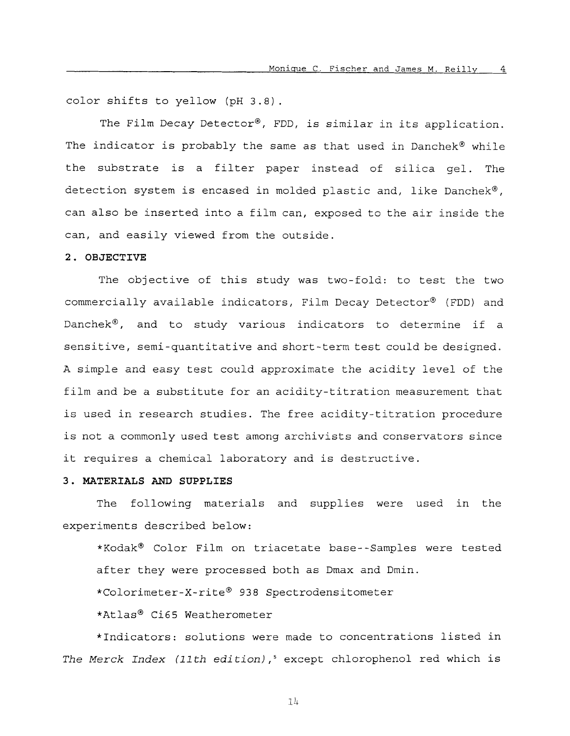color shifts to yellow (pH 3.8).

The Film Decay Detector<sup>®</sup>, FDD, is similar in its application. The indicator is probably the same as that used in Danchek® while the substrate is a filter paper instead of silica gel. The detection system is encased in molded plastic and, like Danchek®, can also be inserted into a film can, exposed to the air inside the can, and easily viewed from the outside.

### **2. OBJECTIVE**

The objective of this study was two-fold: to test the two commercially available indicators, Film Decay Detector® (FDD) and Danchek $^{\circ}$ , and to study various indicators to determine if a sensitive, semi-quantitative and short-term test could be designed. A simple and easy test could approximate the acidity level of the film and be a substitute for an acidity-titration measurement that is used in research studies. The free acidity-titration procedure is not a commonly used test among archivists and conservators since it requires a chemical laboratory and is destructive.

# **3. MATERIALS** AND **SUPPLIES**

The following materials and supplies were used in the experiments described below:

\*Kodak@ Color Film on triacetate base--Samples were tested after they were processed both as Dmax and Dmin.

\*Calorimeter-X-rite@ 938 Spectrodensitometer

\*Atlas@ Ci65 Weatherometer

\*Indicators: solutions were made to concentrations listed in *The Merck Index (11th edition)* ,' except chlorophenol red which is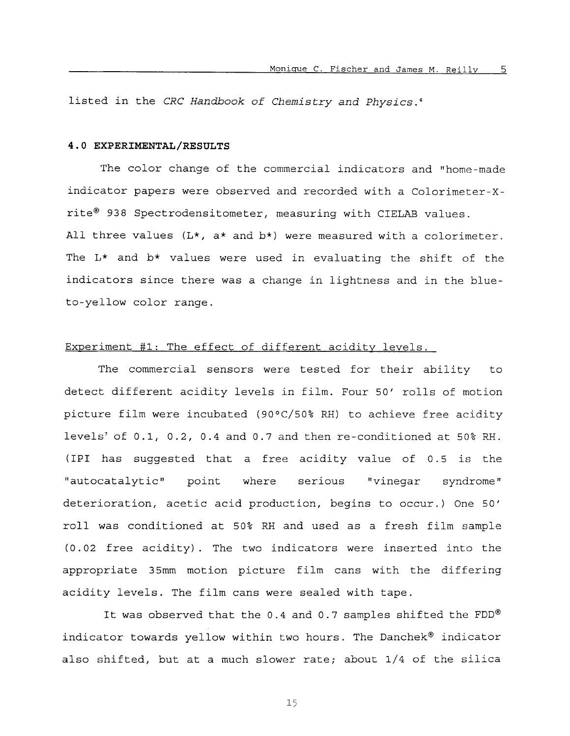listed in the *CRC Handbook of Chemistry and Physics.6* 

## **4.0 EXPERIMENTAL/RESULTS**

The color change of the commercial indicators and "home-made indicator papers were observed and recorded with a Colorimeter-Xrite@ 938 Spectrodensitometer, measuring with CIELAB values. All three values (L\*, a\* and **b\*)** were measured with a colorimeter. The L\* and b\* values were used in evaluating the shift of the indicators since there was a change in lightness and in the blueto-yellow color range.

## Experiment #1: The effect of different acidity levels.

The commercial sensors were tested for their ability to detect different acidity levels in film. Four *50'* rolls of motion picture film were incubated (90°C/50% RH) to achieve free acidity levels' of 0.1, 0.2, 0.4 and 0.7 and then re-conditioned at 50% RH. (IPI has suggested that a free acidity value of 0.5 is the "autocatalytic" point where serious "vinegar syndrome" deterioration, acetic acid production, begins to occur.) One 50' roll was conditioned at 50% RH and used as a fresh film sample (0.02 free acidity). The two indicators were inserted into the appropriate 35mm motion picture film cans with the differing acidity levels. The film cans were sealed with tape.

It was observed that the 0.4 and 0.7 samples shifted the  $FDD^{\otimes}$ indicator towards yellow within two hours. The Danchek® indicator also shifted, but at a much slower rate; about 1/4 of the silica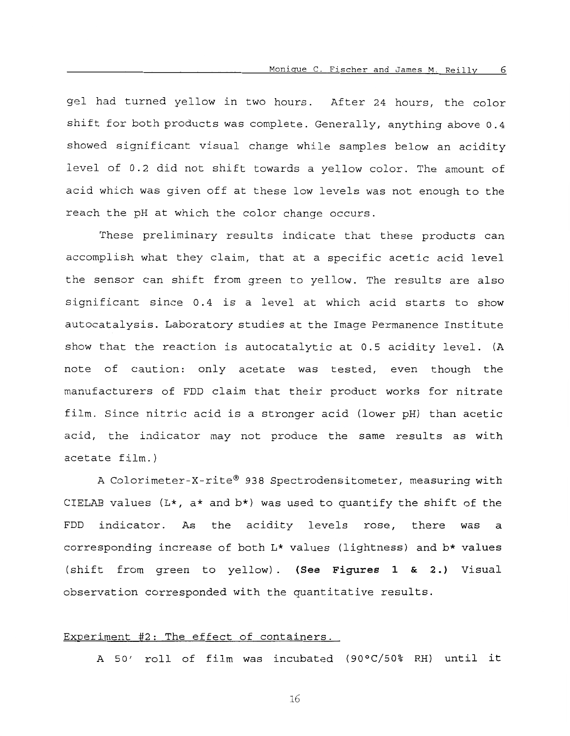gel had turned yellow in two hours. After 24 hours, the color shift for both products was complete. Generally, anything above 0.4 showed significant visual change while samples below an acidity level of 0.2 did not shift towards a yellow color. The amount of acid which was given off at these low levels was not enough to the reach the pH at which the color change occurs.

These preliminary results indicate that these products can accomplish what they claim, that at a specific acetic acid level the sensor can shift from green to yellow. The results are also significant since 0.4 is a level at which acid starts to show autocatalysis. Laboratory studies at the Image Permanence Institute show that the reaction is autocatalytic at 0.5 acidity level. (A note of caution: only acetate was tested, even though the manufacturers of FDD claim that their product works for nitrate film. Since nitric acid is a stronger acid (lower pH) than acetic acid, the indicator may not produce the same results as with acetate film.)

A Colorimeter-X-rite® 938 Spectrodensitometer, measuring with CIELAB values  $(L*, a*$  and  $b*$ ) was used to quantify the shift of the FDD indicator. As the acidity levels rose, there was **a**  corresponding increase of both L\* values (lightness) and b\* values (shift from green to yellow). **(See Figures 1** & **2.)** Visual observation corresponded with the quantitative results.

# Experiment #2: The effect of containers.

A *50'* roll of film was incubated **(9OoC/50%** RH) until it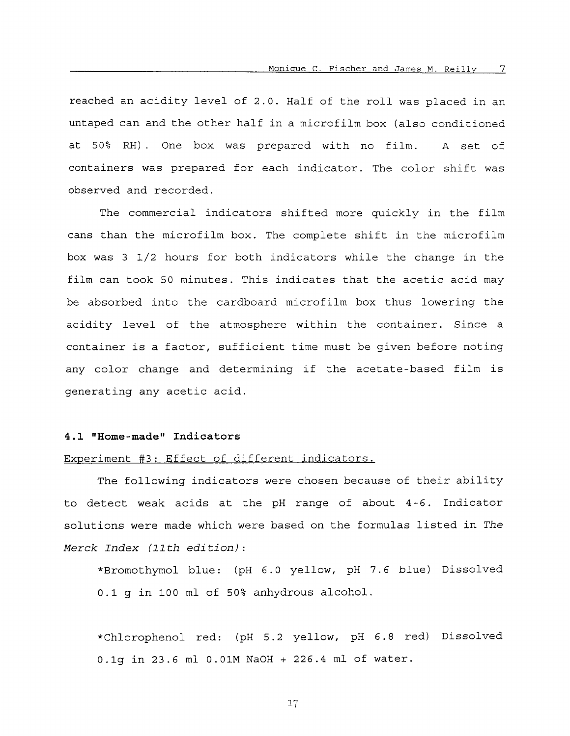reached an acidity level of 2.0. Half of the roll was placed in an untaped can and the other half in a microfilm box (also conditioned at 50% RH). One box was prepared with no film. A set of containers was prepared for each indicator. The color shift was observed and recorded.

The commercial indicators shifted more quickly in the film cans than the microfilm box. The complete shift in the microfilm box was 3 1/2 hours for both indicators while the change in the film can took 50 minutes. This indicates that the acetic acid may be absorbed into the cardboard microfilm box thus lowering the acidity level of the atmosphere within the container. Since a container is a factor, sufficient time must be given before noting any color change and determining if the acetate-based film is generating any acetic acid.

### **4.1 "Home-made" Indicators**

# Experiment #3: Effect of different indicators.

The following indicators were chosen because of their ability to detect weak acids at the pH range of about 4-6. Indicator solutions were made which were based on the formulas listed in *The Merck Index (11 th edition)* :

\*Bromothymol blue: (pH 6.0 yellow, pH 7.6 blue) Dissolved 0.1 g in 100 ml of 50% anhydrous alcohol.

\*Chlorophenol red: (pH 5.2 yellow, pH *6.8* red) Dissolved 0.lg in 23.6 ml 0.01M NaOH + 226.4 ml of water.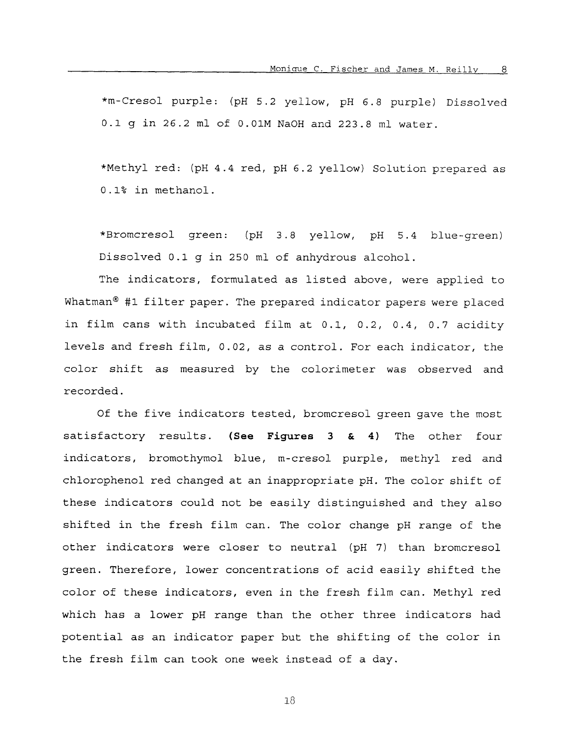\*m-Cresol purple: (pH 5.2 yellow, pH 6.8 purple) Dissolved *0.1* g in 26.2 ml *of* 0.01M NaOH and 223.8 ml water.

\*Methyl red: (pH 4.4 red, pH 6.2 yellow) Solution prepared as 0.1% in methanol.

\*Bromcresol green: (pH 3.8 yellow, pH 5.4 blue-green) Dissolved **0.1** g in 250 ml of anhydrous alcohol.

The indicators, formulated as listed above, were applied to Whatman<sup>®</sup> #1 filter paper. The prepared indicator papers were placed in film cans with incubated film at 0.1, 0.2, 0.4, 0.7 acidity levels and fresh film, 0.02, as a control. For each indicator, the color shift as measured by the colorimeter was observed and recorded.

Of the five indicators tested, bromcresol green gave the most satisfactory results. **(See Figures 3** & **4)** The other four indicators, bromothymol blue, m-cresol purple, methyl red and chlorophenol red changed at an inappropriate pH. The color shift of these indicators could not be easily distinguished and they also shifted in the fresh film can. The color change pH range of the other indicators were closer to neutral (pH *7)* than bromcresol green. Therefore, lower concentrations of acid easily shifted the color of these indicators, even in the fresh film can. Methyl red which has a lower pH range than the other three indicators had potential as an indicator paper but the shifting of the color in the fresh film can took one week instead of a day.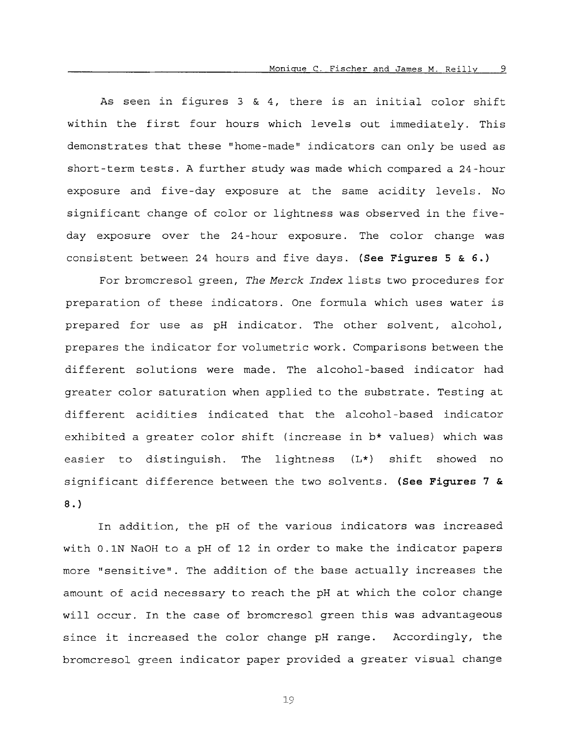As seen in figures *3* & 4, there is an initial color shift within the first four hours which levels out immediately. This demonstrates that these "home-made" indicators can only be used as short-term tests. A further study was made which compared a 24-hour exposure and five-day exposure at the same acidity levels. No significant change of color or lightness was observed in the fiveday exposure over the 24-hour exposure. The color change was consistent between 24 hours and five days. *(See* **Figures 5** & *6.)* 

For bromcresol green, *The Merck Index* lists two procedures for preparation of these indicators. One formula which uses water is prepared for use as pH indicator. The other solvent, alcohol, prepares the indicator for volumetric work. Comparisons between the different solutions were made. The alcohol-based indicator had greater color saturation when applied to the substrate. Testing at different acidities indicated that the alcohol-based indicator exhibited a greater color shift (increase in b\* values) which was easier to distinguish. The lightness (L\*) shift showed no significant difference between the two solvents. *(See* **Figures** *7* & *8.)* 

In addition, the pH of the various indicators was increased with 0.1N NaOH to a pH of 12 in order to make the indicator papers more "sensitive". The addition *of* the base actually increases the amount of acid necessary to reach the pH at which the color change will occur. In the case of bromcresol green this was advantageous since it increased the color change pH range. Accordingly, the bromcresol green indicator paper provided a greater visual change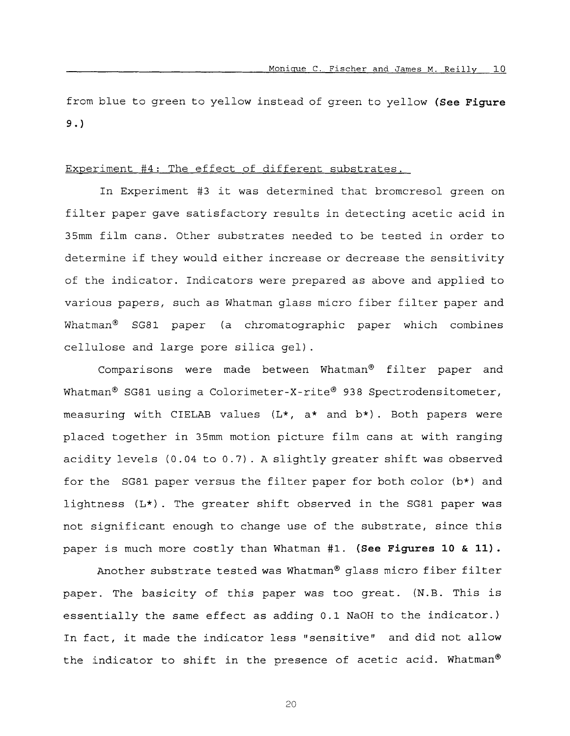from blue to green to yellow instead of green to yellow **(See Figure 9.)** 

# Experiment #4: The effect of different substrates.

In Experiment #3 it was determined that bromcresol green on filter paper gave satisfactory results in detecting acetic acid in 35mm film cans. Other substrates needed to be tested in order to determine if they would either increase or decrease the sensitivity of the indicator. Indicators were prepared as above and applied to various papers, such as Whatman glass micro fiber filter paper and Whatman" SG81 paper (a chromatographic paper which combines cellulose and large pore silica gel).

Comparisons were made between Whatman@ filter paper and Whatman<sup>®</sup> SG81 using a Colorimeter-X-rite<sup>®</sup> 938 Spectrodensitometer, measuring with CIELAB values (L\*, a\* and b\*) . Both papers were placed together in 35mm motion picture film cans at with ranging acidity levels (0.04 to 0.7) . A slightly greater shift was observed for the SG81 paper versus the filter paper for both color (b\*) and lightness (L\*). The greater shift observed in the SG81 paper was not significant enough to change use of the substrate, since this paper is much more costly than Whatman #1. **(See Figures 10** & **11).** 

Another substrate tested was Whatman<sup>®</sup> glass micro fiber filter paper. The basicity of this paper was too great. (N.B. This **is**  essentially the same effect as adding 0.1 NaOH to the indicator.) In fact, it made the indicator less "sensitive" and did not allow the indicator to shift in the presence of acetic acid. Whatman®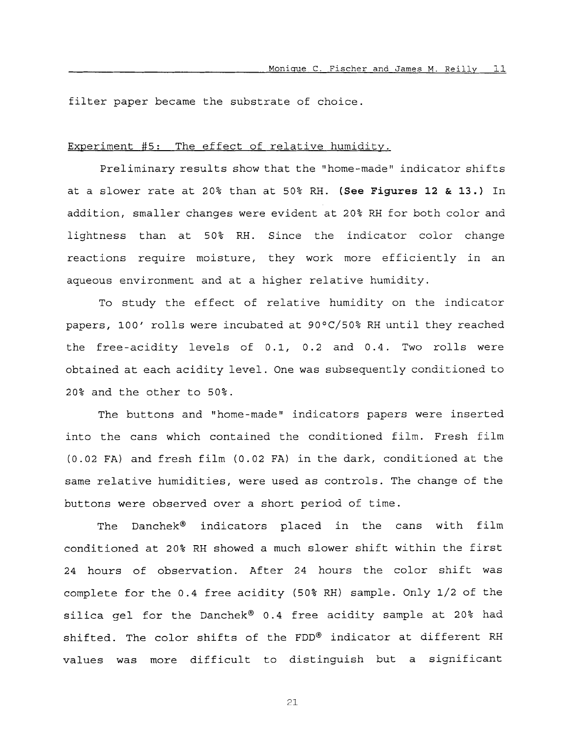filter paper became the substrate of choice.

## Experiment #5: The effect of relative humidity.

Preliminary results show that the "home-made" indicator shifts at a slower rate at 20% than at 50% RH. **(See Figures 12** & **13.)** In addition, smaller changes were evident at 20% RH for both color and lightness than at 50% RH. Since the indicator color change reactions require moisture, they work more efficiently in an aqueous environment and at a higher relative humidity.

To study the effect of relative humidity on the indicator papers, 100' rolls were incubated at **9OoC/50%** RH until they reached the free-acidity levels of 0.1, 0.2 and 0.4. Two rolls were obtained at each acidity level. One was subsequently conditioned to 20% and the other to 50%.

The buttons and "home-made" indicators papers were inserted into the cans which contained the conditioned film. Fresh film (0.02 FA) and fresh film (0.02 FA) in the dark, conditioned at the same relative humidities, were used as controls. The change of the buttons were observed over a short period of time.

The Danchek@ indicators placed in the cans with film conditioned at 20% RH showed a much slower shift within the first 24 hours of observation. After 24 hours the color shift was complete for the 0.4 free acidity (50% RH) sample. Only 1/2 of the silica gel for the Danchek<sup>®</sup> 0.4 free acidity sample at 20% had shifted. The color shifts of the FDD® indicator at different RH values was more difficult to distinguish but **a** significant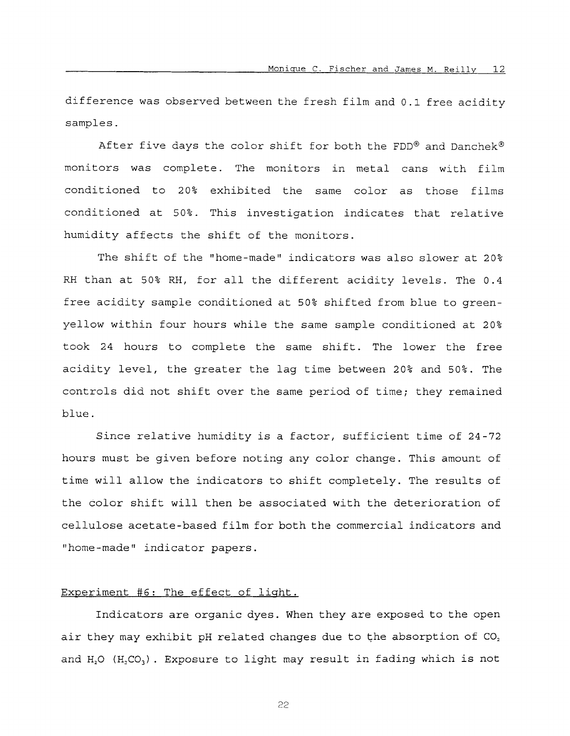difference was observed between the fresh film and 0.1 free acidity samples.

After five days the color shift for both the FDD® and Danchek® monitors was complete. The monitors in metal cans with film conditioned to 20% exhibited the same color as those films conditioned at 50%. This investigation indicates that relative humidity affects the shift of the monitors.

The shift of the "home-made" indicators was also slower at 20% RH than at 50% RH, for all the different acidity levels. The 0.4 free acidity sample conditioned at 50% shifted from blue to greenyellow within four hours while the same sample conditioned at 20% took 24 hours to complete the same shift. The lower the free acidity level, the greater the lag time between 20% and 50%. The controls did not shift over the same period of time; they remained blue.

Since relative humidity is a factor, sufficient time of 24-72 hours must be given before noting any color change. This amount of time will allow the indicators to shift completely. The results of the color shift will then be associated with the deterioration of cellulose acetate-based film for both the commercial indicators and "home-made" indicator papers.

# Experiment #6: The effect of light.

Indicators are organic dyes. When they are exposed **to** the open air they may exhibit pH related changes due to the absorption of CO, and  $H_2O$  ( $H_2CO_3$ ). Exposure to light may result in fading which is not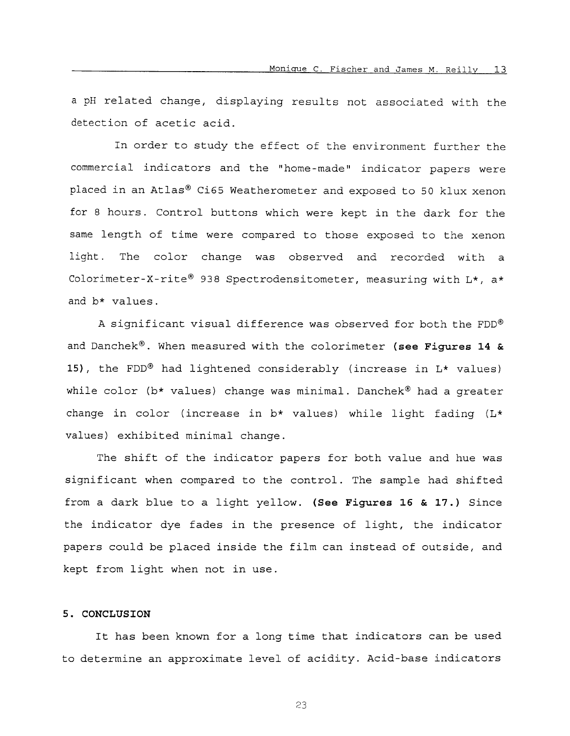a pH related change, displaying results not associated with the detection of acetic acid.

In order to study the effect of the environment further the commercial indicators and the "home-made" indicator papers were placed in an Atlas® Ci65 Weatherometer and exposed to 50 klux xenon for 8 hours. Control buttons which were kept in the dark for the same length of time were compared to those exposed to the xenon light. The color change was observed and recorded with a Colorimeter-X-rite<sup>®</sup> 938 Spectrodensitometer, measuring with  $L^*$ , a\* and b\* values.

A significant visual difference was observed for both the FDD" and Danchek®. When measured with the colorimeter (see Figures 14 & **15),** the FDD@ had lightened considerably (increase in L\* values) while color ( $b*$  values) change was minimal. Danchek<sup>®</sup> had a greater change in color (increase in b\* values) while light fading (L\* values) exhibited minimal change.

The shift of the indicator papers for both value and hue was significant when compared to the control. The sample had shifted from a dark blue to **a** light yellow. **(See Figures 16** & **17.)** Since the indicator dye fades in the presence of light, the indicator papers could be placed inside the film can instead of outside, and kept from light when not in use.

# 5. **CONCLUSION**

It has been known for a long time that indicators can be used to determine an approximate level of acidity. Acid-base indicators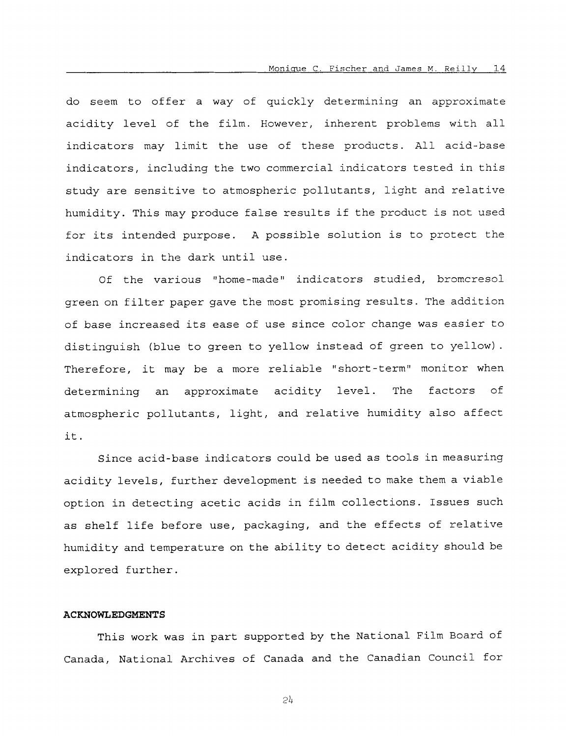do seem to offer a way of quickly determining an approximate acidity level of the film. However, inherent problems with all indicators may limit the use of these products. All acid-base indicators, including the two commercial indicators tested in this study are sensitive to atmospheric pollutants, light and relative humidity. This may produce false results if the product is not used for its intended purpose. A possible solution is to protect the indicators in the dark until use.

Of the various "home-made" indicators studied, bromcresol green on filter paper gave the most promising results. The addition of base increased its ease *of* use since color change was easier to distinguish (blue to green to yellow instead of green to yellow). Therefore, it may be a more reliable "short-term" monitor when determining an approximate acidity level. atmospheric pollutants, light, and relative humidity also affect it. The factors of

Since acid-base indicators could be used as tools in measuring acidity levels, further development is needed to make them a viable option in detecting acetic acids in film collections. Issues such as shelf life before use, packaging, and the effects of relative humidity and temperature on the ability to detect acidity should be explored further.

# **ACKNOWLEDGMENTS**

This work was in part supported by the National Film Board of Canada, National Archives of Canada and the Canadian Council for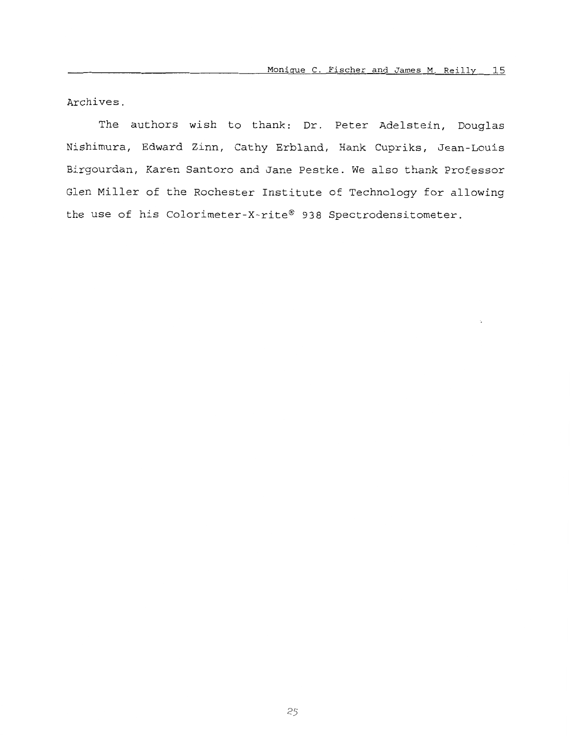Archives.

The authors wish to thank: Dr. Peter Adelstein, Douglas Nishimura, Edward Zinn, Cathy Erbland, Hank Cupriks, Jean-Louis Birgourdan, Karen Santoro and Jane Pestke. We also thank Professor Glen Miller of the Rochester Institute of Technology for allowing the use of his Colorimeter-X-rite® 938 Spectrodensitometer.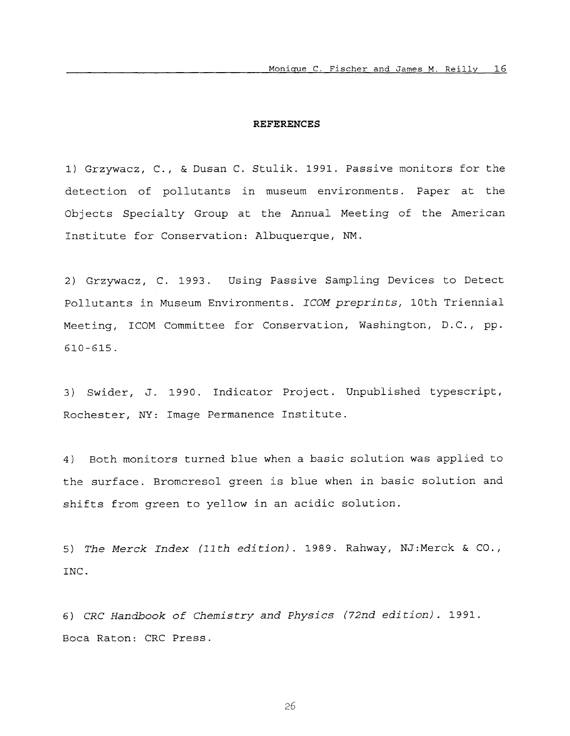#### **REFERENCES**

1) Grzywacz, C., & Dusan C. Stulik. 1991. Passive monitors for the detection of pollutants in museum environments. Paper at the Objects Specialty Group at the Annual Meeting of the American Institute for Conservation: Albuquerque, **NM.** 

2) Grzywacz, C. 1993. Using Passive Sampling Devices to Detect Pollutants in Museum Environments. *ICOM preprints,* 10th Triennial Meeting, ICOM Committee for Conservation, Washington, D.C., pp. 610-615.

*3)* Swider, J. 1990. Indicator Project. Unpublished typescript, Rochester, NY: Image Permanence Institute.

4) Both monitors turned blue when a basic solution was applied to the surface. Bromcresol green is blue when in basic solution and shifts from green to yellow in an acidic solution.

*5) The Merck Index (11th edition).* 1989. Rahway, NJ:Merck & CO., INC.

*6) CRC Handbook of Chemistry and Physics (72nd edition).* 1991. Boca Raton: CRC Press.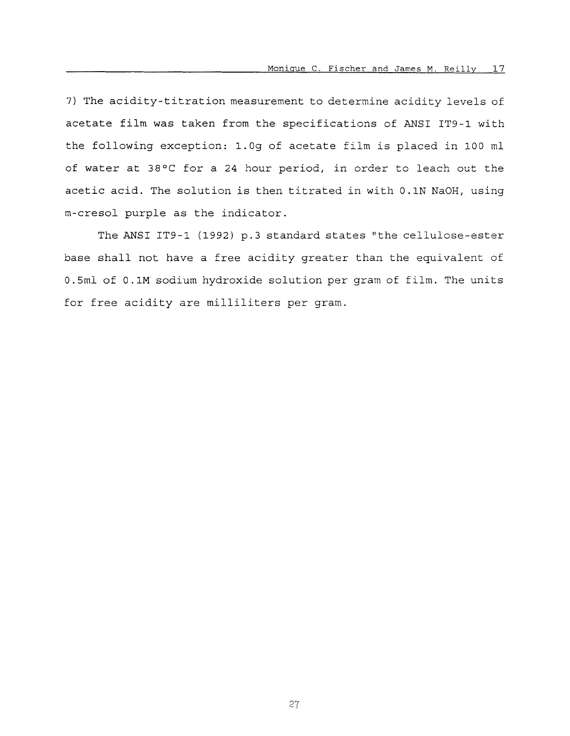*7)* The acidity-titration measurement to determine acidity levels of acetate film was taken from the specifications of ANSI IT9-1 with the following exception: 1.Og of acetate film is placed in 100 ml of water at 38°C for a 24 hour period, in order to leach out the acetic acid. The solution is then titrated in with 0.1N NaOH, using m-cresol purple as the indicator.

The ANSI IT9-1 (1992) p.3 standard states "the cellulose-ester base shall not have a free acidity greater than the equivalent of 0.5ml of 0.1M sodium hydroxide solution per gram of film. The units for free acidity are milliliters per gram.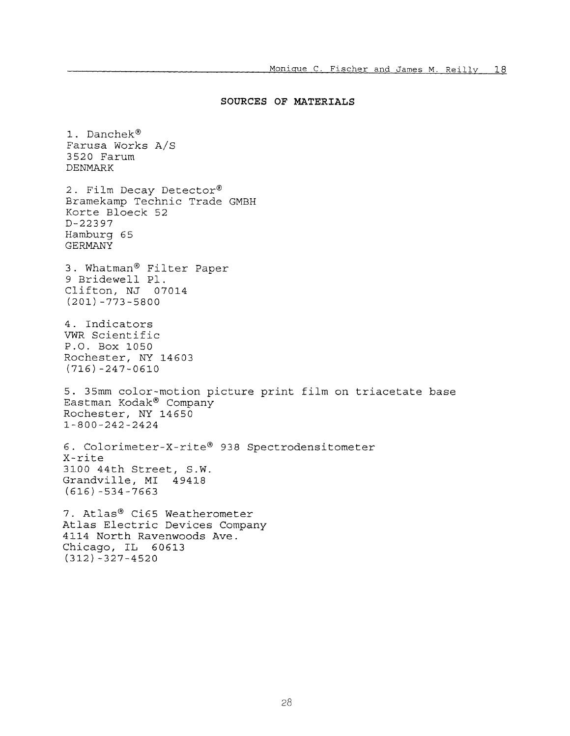### **SOURCES OF MATERIALS**

1. Danchek<sup>®</sup> Farusa Works A/S 3520 Farum DENMARK 2. Film Decay Detector® Bramekamp Technic Trade GMBH Korte Bloeck 52 Hamburg 65 GERMANY D-22397 3. Whatman@ Filter Paper 9 Bridewell P1. Clifton, NJ 07014 (201) -773-5800 4. Indicators VWR Scientific P.O. Box 1050 Rochester, NY 14603 (716) -247-0610 5. 35mm color-motion picture print film on triacetate base Eastman Kodak" Company Rochester, NY 14650 1-800-242-2424 6. Colorimeter-X-rite" 938 Spectrodensitometer X-rite 3100 44th Street, S.W. Grandville, MI 49418 (616) -534-7663 7. Atlas® Ci65 Weatherometer **Atlas** Electric Devices Company 4114 North Ravenwoods Ave. Chicago, IL 60613 (312) -327-4520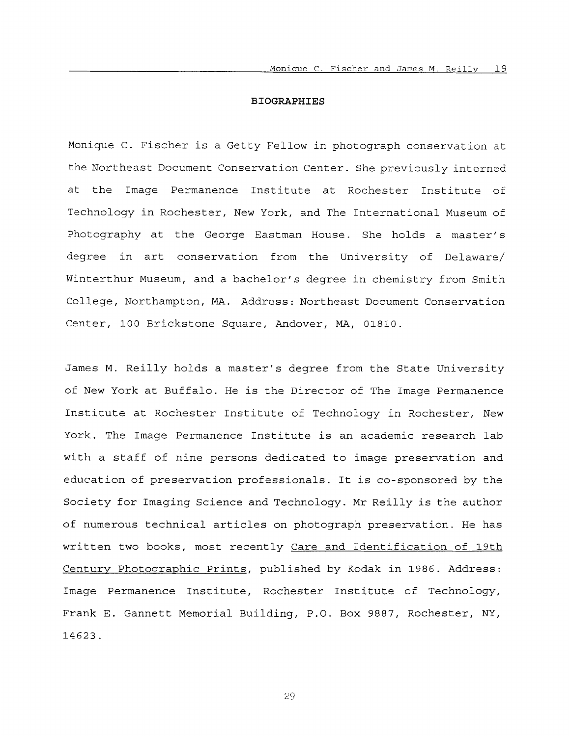#### **BIOGRAPHIES**

Monique C. Fischer is a Getty Fellow in photograph conservation at the Northeast Document Conservation Center. She previously interned at the Image Permanence Institute at Rochester Institute *of*  Technology in Rochester, New York, and The International Museum of Photography at the George Eastman House. She holds a master's degree in art conservation from the University of Delaware/ Winterthur Museum, and a bachelor's degree in chemistry from Smith College, Northampton, MA. Address: Northeast Document Conservation Center, 100 Brickstone Square, Andover, MA, 01810.

James M. Reilly holds a master's degree from the State University *of* New York at Buffalo. He is the Director of The Image Permanence Institute at Rochester Institute of Technology in Rochester, New York. The Image Permanence Institute is an academic research lab with a staff of nine persons dedicated to image preservation and education of preservation professionals. It is co-sponsored by the Society for Imaging Science and Technology. Mr Reilly is the author of numerous technical articles on photograph preservation. He has written two books, most recently Care and Identification of 19th Century Photoqraphic Prints, published by Kodak in 1986. Address: Image Permanence Institute, Rochester Institute *of* Technology, Frank E. Gannett Memorial Building, P.O. Box 9887, Rochester, *NY,*  14623.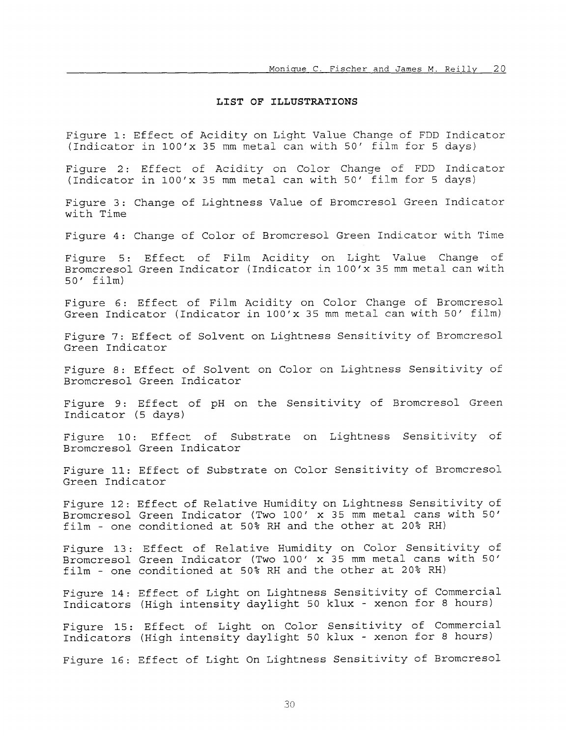### **LIST OF ILLUSTRATIONS**

Figure 1: Effect of Acidity on Light Value Change of FDD Indicator (Indicator in 1OO'x 35 mm metal can with 50' film for 5 days)

Figure 2: Effect of Acidity on Color Change of FDD Indicator (Indicator in 1OO'x 35 mm metal can with 50' film for 5 days)

Figure 3: Change of Lightness Value of Bromcresol Green Indicator with Time

Figure 4: Change of Color of Bromcresol Green Indicator with Time

Figure 5: Effect of Film Acidity on Light Value Change of Bromcresol Green Indicator (Indicator in 1OO'x 35 mm metal can with 50' film)

Figure *6:* Effect of Film Acidity on Color Change of Bromcresol Green Indicator (Indicator in 1OO'x 35 mm metal can with 50' film)

Figure 7: Effect of Solvent on Lightness Sensitivity of Bromcresol Green Indicator

Figure 8: Effect of Solvent on Color on Lightness Sensitivity of Bromcresol Green Indicator

Figure 9: Effect of pH on the Sensitivity of Bromcresol Green Indicator (5 days)

Figure 10: Effect of Substrate on Lightness Sensitivity of Bromcresol Green Indicator

Figure 11: Effect of Substrate on Color Sensitivity of Bromcresol Green Indicator

Figure 12: Effect *of* Relative Humidity on Lightness Sensitivity of Bromcresol Green Indicator (Two 100' x 35 mm metal cans with 50' film - one conditioned at 50% RH and the other at 20% RH)

Figure 13: Effect of Relative Humidity on Color Sensitivity of Bromcresol Green Indicator (Two 100' x 35 mm metal cans with 50' film - one conditioned at 50% RH and the other at 20% RH)

Figure 14: Effect of Light on Lightness Sensitivity of Commercial Indicators (High intensity daylight 50 klux - xenon for 8 hours)

Figure 15: Effect of Light on Color Sensitivity of Commercial Indicators (High intensity daylight 50 klux - xenon for 8 hours)

Figure **16:**  Effect of Light On Lightness Sensitivity of Bromcresol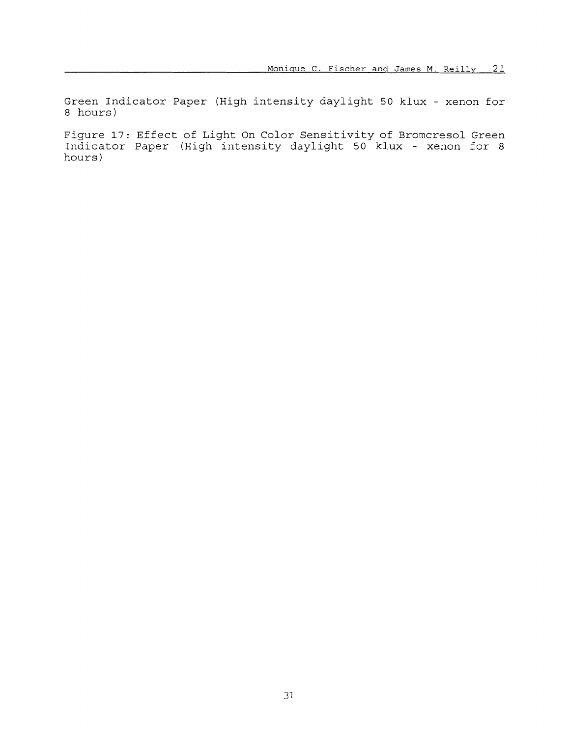Green Indicator Paper (High intensity daylight 50 klux - xenon for 8 hours)

Figure 17: Effect of Light On Color Sensitivity of Bromcresol Green Indicator Paper (High intensity daylight 50 klux - xenon for 8 hours)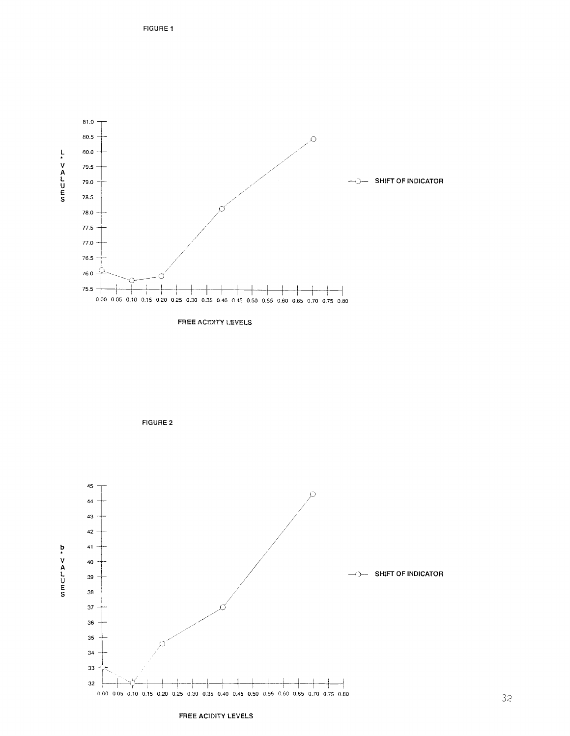

**FREE ACIDITY LEVELS** 



FREE ACIDITY LEVELS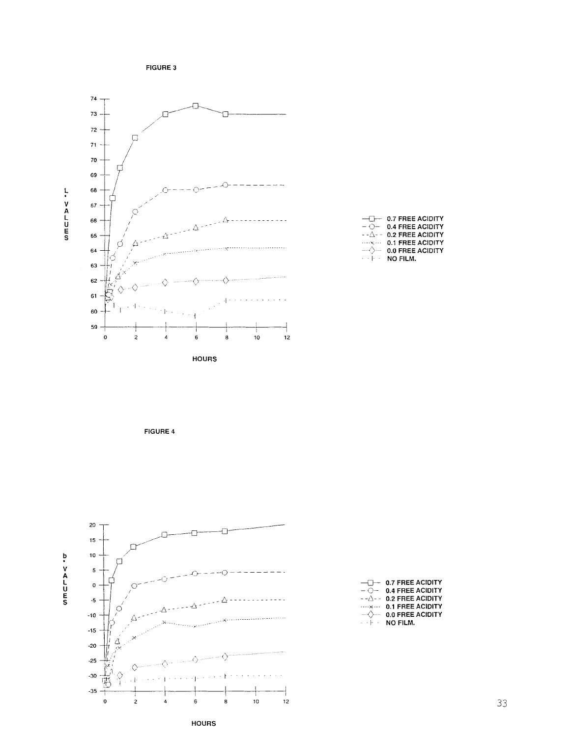FIGURE 3







|                       | $ -$ 0.7 FREE ACIDITY          |
|-----------------------|--------------------------------|
|                       | $ \bigcirc$ - 0.4 FREE ACIDITY |
| - - A - -             | <b>0.2 FREE ACIDITY</b>        |
| $\cdots$ . $\cdots$ . | 0.1 FREE ACIDITY               |
|                       | 0.0 FREE ACIDITY               |
| and provide           | NO FILM.                       |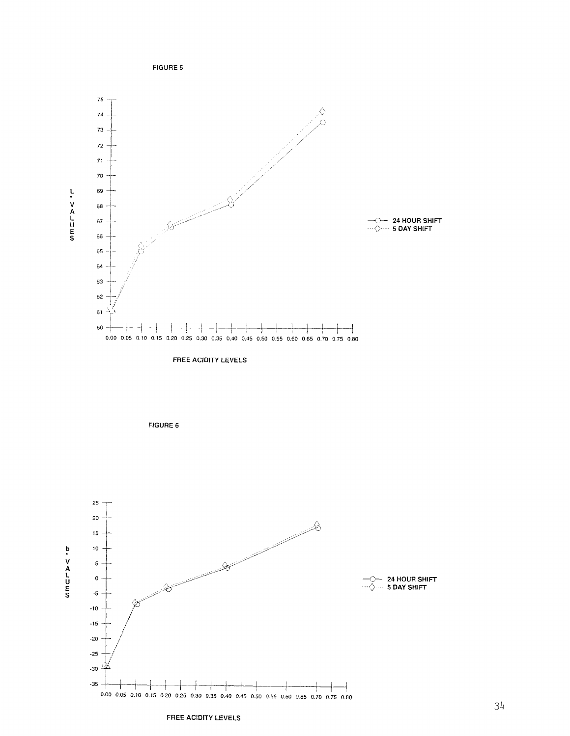

**FREE ACIDITY LEVELS** 





#### **FREE ACIDITY LEVELS**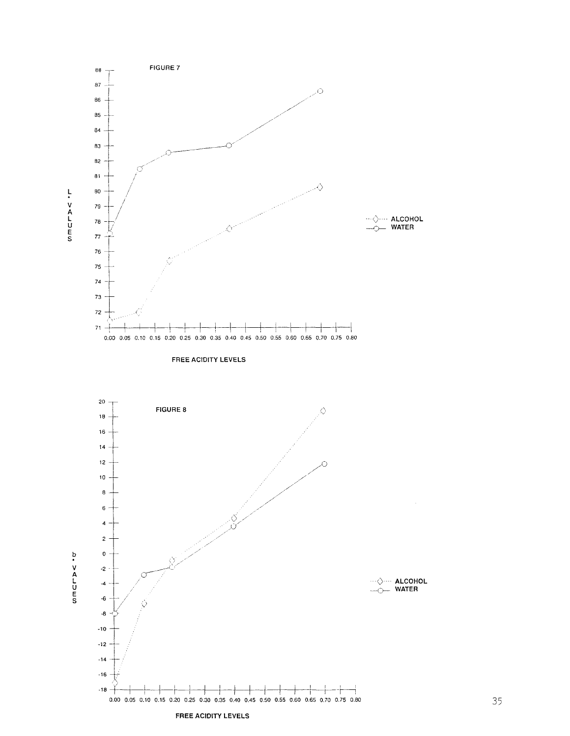



 $12$  $10$ . 8  $\mathbf 6$  $\boldsymbol{4}$  $\mathbf 2$ 

> $\pmb{0}$  $-2$

 $\overline{\phantom{a}}$  $\textbf{-6}$  $-8$  $-10$  $^{\circ}12$  $\mathbf{-14}$  $-16$  $-18$ 

FREE ACIDITY LEVELS

 $0.00\ \ \, 0.05\ \ \, 0.10\ \ \, 0.15\ \ \, 0.20\ \ \, 0.25\ \ \, 0.30\ \ \, 0.35\ \ \, 0.40\ \ \, 0.45\ \ \, 0.50\ \ \, 0.55\ \ \, 0.60\ \ \, 0.65\ \ \, 0.70\ \ \, 0.75\ \ \, 0.80$ 

 $\begin{array}{c}\n\cdots \diamond \cdots \quad \text{ALCOHOL} \\
\longleftarrow \circ \cdots \quad \text{WATER}\n\end{array}$ 

⊹⊦ ⊣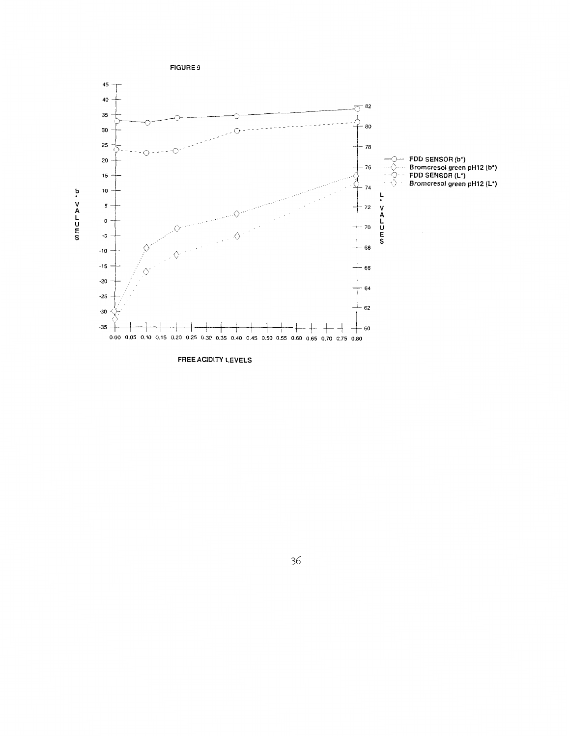

**FREE ACIDITY LEVELS**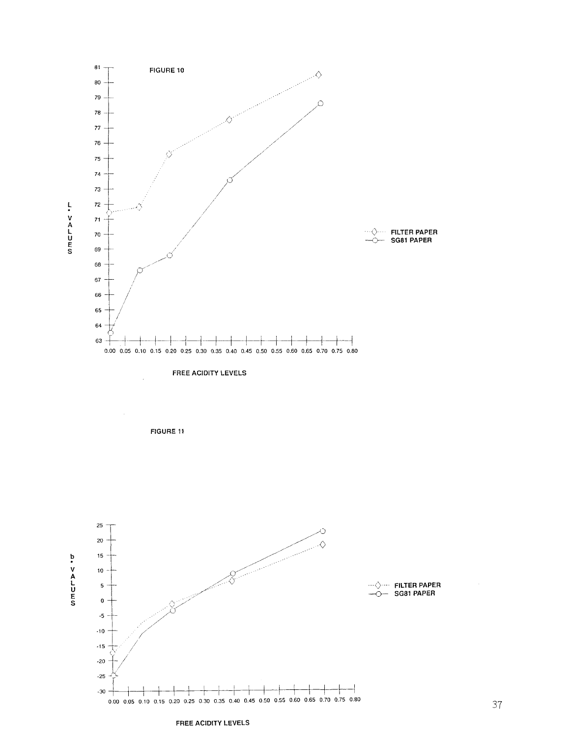





FREE ACIDITY LEVELS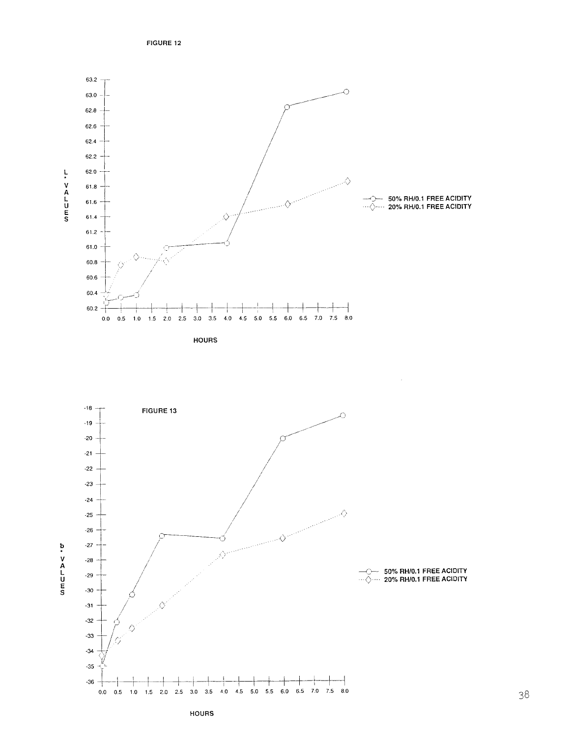FIGURE 12



**HOURS** 



**HOURS**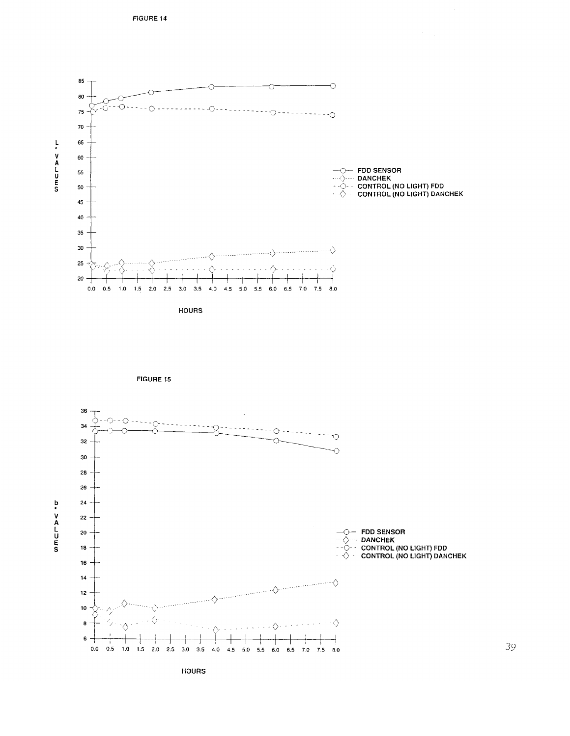

**HOURS** 





**HOURS**